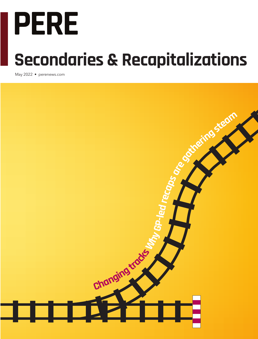# **PERE**

# **Secondaries & Recapitalizations**

May 2022 • perenews.com

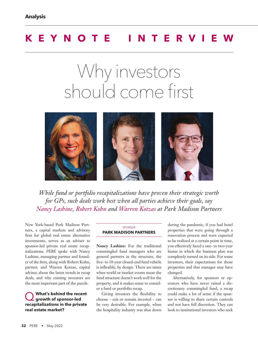# **KEYNOTE INTERVIE**

# Why investors should come first



*While fund or portfolio recapitalizations have proven their strategic worth for GPs, such deals work best when all parties achieve their goals, say Nancy Lashine, Robert Kohn and Warren Kotzas at Park Madison Partners*

New York-based Park Madison Partners, a capital markets and advisory firm for global real estate alternative investments, serves as an adviser to sponsor-led private real estate recapitalizations. *PERE* spoke with Nancy Lashine, managing partner and founder of the firm, along with Robert Kohn, partner, and Warren Kotzas, capital adviser, about the latest trends in recap deals, and why existing investors are the most important part of the puzzle.

Q **What's behind the recent growth of sponsor-led recapitalizations in the private real estate market?**

#### SPONSOR **PARK MADISON PARTNERS**

**Nancy Lashine:** For the traditional commingled fund managers who are general partners in the structure, the five- to 10-year closed-end fund vehicle is inflexible, by design. There are times when world or market events mean the fund structure doesn't work well for the property, and it makes sense to consider a fund or portfolio recap.

Giving investors the flexibility to choose – exit or remain invested – can be very desirable. For example, when the hospitality industry was shut down during the pandemic, if you had hotel properties that were going through a renovation process and were expected to be realized at a certain point in time, you effectively faced a one- to two-year hiatus in which the business plan was completely turned on its side. For some investors, their expectations for those properties and that manager may have changed.

Alternatively, for sponsors or operators who have never raised a discretionary commingled fund, a recap could make a lot of sense if the sponsor is willing to share certain controls and not have full discretion. They can look to institutional investors who seek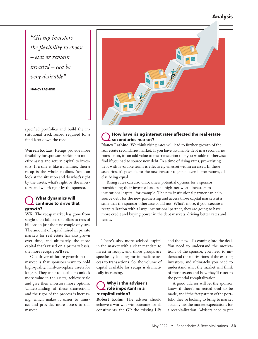#### **Analysis**

*"Giving investors the flexibility to choose – exit or remain invested – can be very desirable"*

**NANCY LASHINE**

specified portfolios and build the institutional track record required for a fund later down the road.

**Warren Kotzas:** Recaps provide more flexibility for sponsors seeking to monetize assets and return capital to investors. If a sale is like a hammer, then a recap is the whole toolbox. You can look at the situation and do what's right by the assets, what's right by the investors, and what's right by the sponsor.

#### What dynamics will **continue to drive that growth?**

WK: The recap market has gone from single-digit billions of dollars to tens of billions in just the past couple of years. The amount of capital raised in private markets for real estate has also grown over time, and ultimately, the more capital that's raised on a primary basis, the more recaps you'll see.

One driver of future growth in this market is that sponsors want to hold high-quality, hard-to-replace assets for longer. They want to be able to unlock more value in the assets, achieve scale and give their investors more options. Understanding of these transactions and the rigor of the process is increasing, which makes it easier to transact and provides more access to this market.



#### Q**How have rising interest rates affected the real estate secondaries market?**

**Nancy Lashine:** We think rising rates will lead to further growth of the real estate secondaries market. If you have assumable debt in a secondaries transaction, it can add value to the transaction that you wouldn't otherwise find if you had to source new debt. In a time of rising rates, pre-existing debt with favorable terms is effectively an asset within an asset. In these scenarios, it's possible for the new investor to get an even better return, all else being equal.

Rising rates can also unlock new potential options for a sponsor transitioning their investor base from high-net-worth investors to institutional capital, for example. The new institutional partner can help source debt for the new partnership and access those capital markets at a scale that the sponsor otherwise could not. What's more, if you execute a recapitalization with a large institutional partner, they are going to have more credit and buying power in the debt markets, driving better rates and terms.

There's also more advised capital in the market with a clear mandate to invest in recaps, and those groups are specifically looking for immediate access to transactions. So, the volume of capital available for recaps is dramatically increasing.

#### Q **Why is the adviser's role important in a recapitalization?**

**Robert Kohn:** The adviser should achieve a win-win-win outcome for all constituents: the GP, the existing LPs and the new LPs coming into the deal. You need to understand the motivations of the sponsor, you need to understand the motivations of the existing investors, and ultimately you need to understand what the market will think of those assets and how they'll react to the potential recapitalization.

A good adviser will let the sponsor know if there's an actual deal to be made, and if the fact pattern of the portfolio they're looking to bring to market actually fits the market expectations for a recapitalization. Advisers need to put